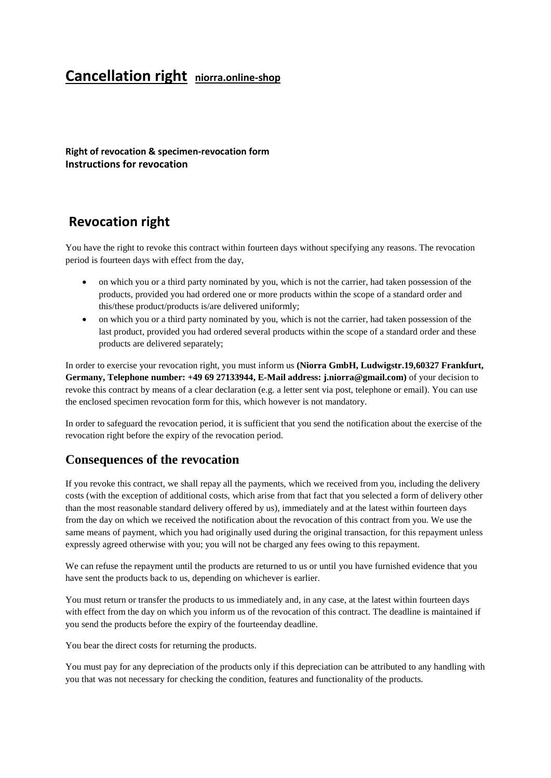# **Cancellation right niorra.online-shop**

**Right of revocation & specimen-revocation form Instructions for revocation**

### **Revocation right**

You have the right to revoke this contract within fourteen days without specifying any reasons. The revocation period is fourteen days with effect from the day,

- on which you or a third party nominated by you, which is not the carrier, had taken possession of the products, provided you had ordered one or more products within the scope of a standard order and this/these product/products is/are delivered uniformly;
- on which you or a third party nominated by you, which is not the carrier, had taken possession of the last product, provided you had ordered several products within the scope of a standard order and these products are delivered separately;

In order to exercise your revocation right, you must inform us **(Niorra GmbH, Ludwigstr.19,60327 Frankfurt, Germany, Telephone number: +49 69 27133944, E-Mail address: j.niorra@gmail.com)** of your decision to revoke this contract by means of a clear declaration (e.g. a letter sent via post, telephone or email). You can use the enclosed specimen revocation form for this, which however is not mandatory.

In order to safeguard the revocation period, it is sufficient that you send the notification about the exercise of the revocation right before the expiry of the revocation period.

### **Consequences of the revocation**

If you revoke this contract, we shall repay all the payments, which we received from you, including the delivery costs (with the exception of additional costs, which arise from that fact that you selected a form of delivery other than the most reasonable standard delivery offered by us), immediately and at the latest within fourteen days from the day on which we received the notification about the revocation of this contract from you. We use the same means of payment, which you had originally used during the original transaction, for this repayment unless expressly agreed otherwise with you; you will not be charged any fees owing to this repayment.

We can refuse the repayment until the products are returned to us or until you have furnished evidence that you have sent the products back to us, depending on whichever is earlier.

You must return or transfer the products to us immediately and, in any case, at the latest within fourteen days with effect from the day on which you inform us of the revocation of this contract. The deadline is maintained if you send the products before the expiry of the fourteenday deadline.

You bear the direct costs for returning the products.

You must pay for any depreciation of the products only if this depreciation can be attributed to any handling with you that was not necessary for checking the condition, features and functionality of the products.